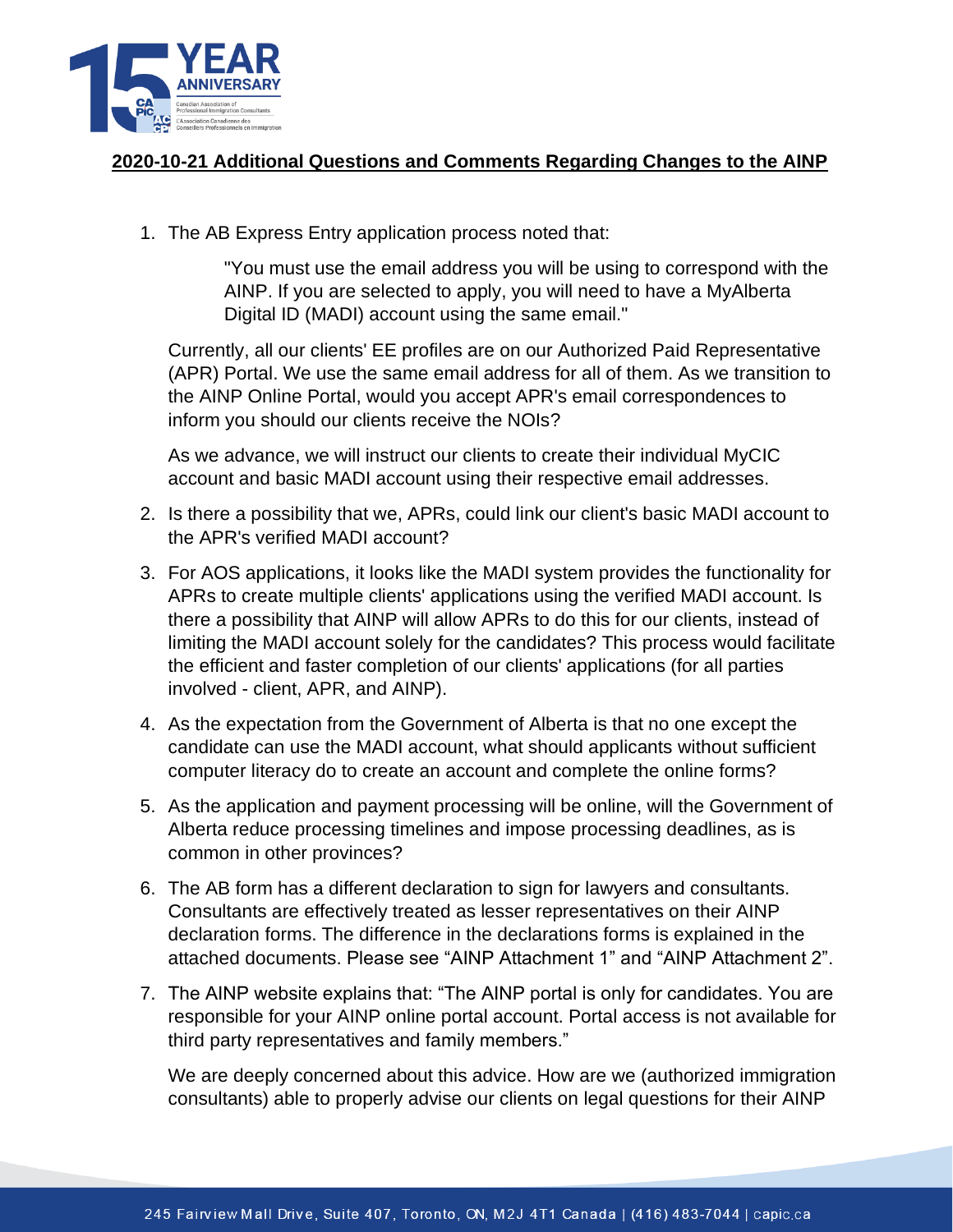

## **2020-10-21 Additional Questions and Comments Regarding Changes to the AINP**

1. The AB Express Entry application process noted that:

"You must use the email address you will be using to correspond with the AINP. If you are selected to apply, you will need to have a MyAlberta Digital ID (MADI) account using the same email."

Currently, all our clients' EE profiles are on our Authorized Paid Representative (APR) Portal. We use the same email address for all of them. As we transition to the AINP Online Portal, would you accept APR's email correspondences to inform you should our clients receive the NOIs?

As we advance, we will instruct our clients to create their individual MyCIC account and basic MADI account using their respective email addresses.

- 2. Is there a possibility that we, APRs, could link our client's basic MADI account to the APR's verified MADI account?
- 3. For AOS applications, it looks like the MADI system provides the functionality for APRs to create multiple clients' applications using the verified MADI account. Is there a possibility that AINP will allow APRs to do this for our clients, instead of limiting the MADI account solely for the candidates? This process would facilitate the efficient and faster completion of our clients' applications (for all parties involved - client, APR, and AINP).
- 4. As the expectation from the Government of Alberta is that no one except the candidate can use the MADI account, what should applicants without sufficient computer literacy do to create an account and complete the online forms?
- 5. As the application and payment processing will be online, will the Government of Alberta reduce processing timelines and impose processing deadlines, as is common in other provinces?
- 6. The AB form has a different declaration to sign for lawyers and consultants. Consultants are effectively treated as lesser representatives on their AINP declaration forms. The difference in the declarations forms is explained in the attached documents. Please see "AINP Attachment 1" and "AINP Attachment 2".
- 7. The AINP website explains that: "The AINP portal is only for candidates. You are responsible for your AINP online portal account. Portal access is not available for third party representatives and family members."

We are deeply concerned about this advice. How are we (authorized immigration consultants) able to properly advise our clients on legal questions for their AINP